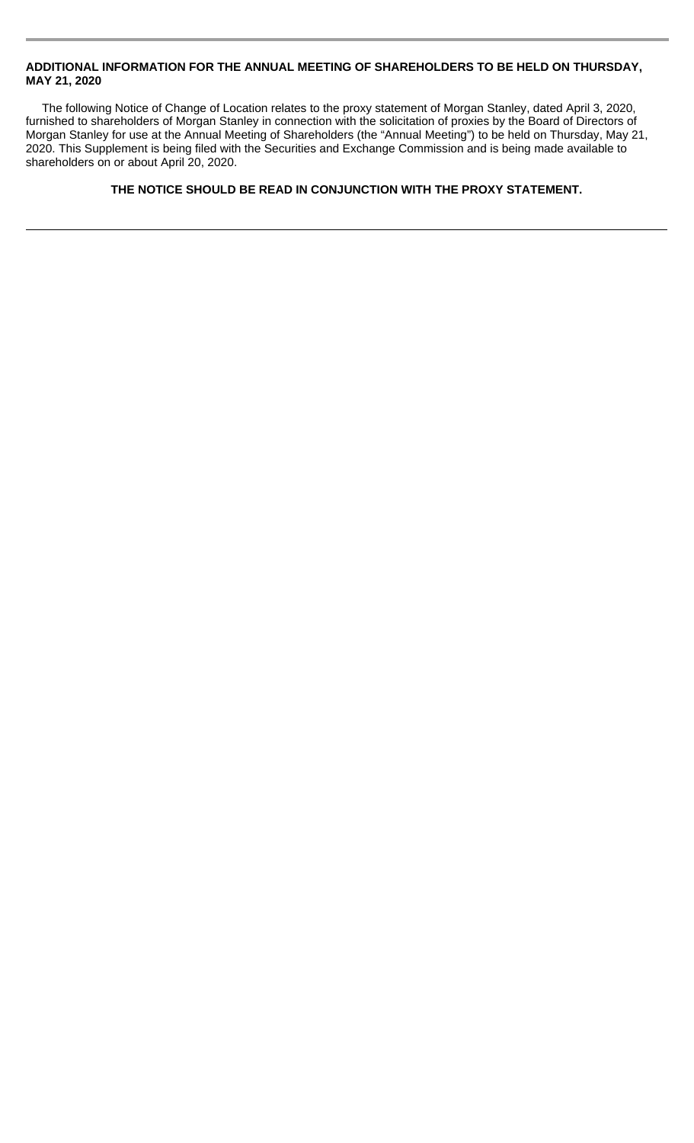## **ADDITIONAL INFORMATION FOR THE ANNUAL MEETING OF SHAREHOLDERS TO BE HELD ON THURSDAY, MAY 21, 2020**

The following Notice of Change of Location relates to the proxy statement of Morgan Stanley, dated April 3, 2020, furnished to shareholders of Morgan Stanley in connection with the solicitation of proxies by the Board of Directors of Morgan Stanley for use at the Annual Meeting of Shareholders (the "Annual Meeting") to be held on Thursday, May 21, 2020. This Supplement is being filed with the Securities and Exchange Commission and is being made available to shareholders on or about April 20, 2020.

## **THE NOTICE SHOULD BE READ IN CONJUNCTION WITH THE PROXY STATEMENT.**